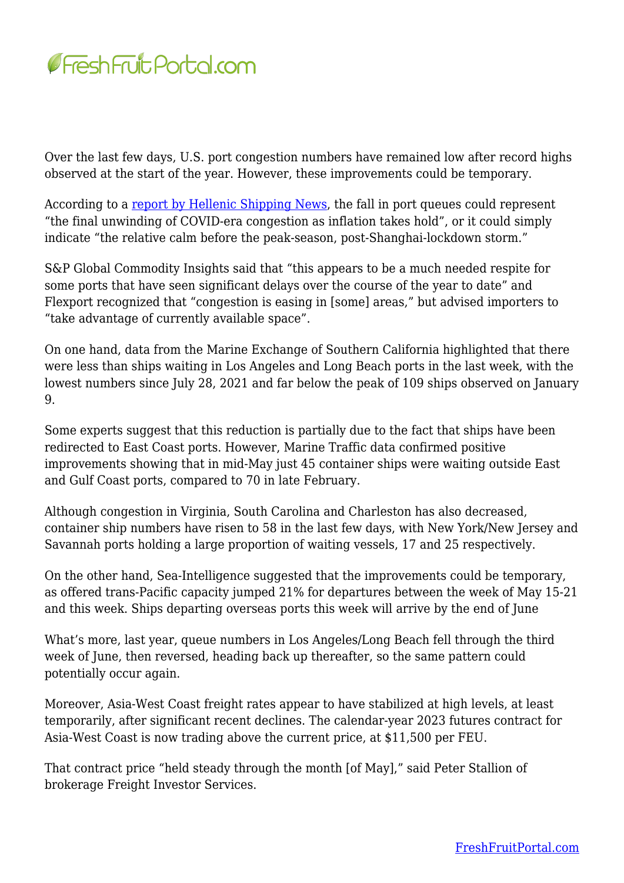

Over the last few days, U.S. port congestion numbers have remained low after record highs observed at the start of the year. However, these improvements could be temporary.

According to a [report by Hellenic Shipping News](https://www.hellenicshippingnews.com/ports-get-much-needed-respite-as-container-ship-traffic-jam-eases/), the fall in port queues could represent "the final unwinding of COVID-era congestion as inflation takes hold", or it could simply indicate "the relative calm before the peak-season, post-Shanghai-lockdown storm."

S&P Global Commodity Insights said that "this appears to be a much needed respite for some ports that have seen significant delays over the course of the year to date" and Flexport recognized that "congestion is easing in [some] areas," but advised importers to "take advantage of currently available space".

On one hand, data from the Marine Exchange of Southern California highlighted that there were less than ships waiting in Los Angeles and Long Beach ports in the last week, with the lowest numbers since July 28, 2021 and far below the peak of 109 ships observed on January 9.

Some experts suggest that this reduction is partially due to the fact that ships have been redirected to East Coast ports. However, Marine Traffic data confirmed positive improvements showing that in mid-May just 45 container ships were waiting outside East and Gulf Coast ports, compared to 70 in late February.

Although congestion in Virginia, South Carolina and Charleston has also decreased, container ship numbers have risen to 58 in the last few days, with New York/New Jersey and Savannah ports holding a large proportion of waiting vessels, 17 and 25 respectively.

On the other hand, Sea-Intelligence suggested that the improvements could be temporary, as offered trans-Pacific capacity jumped 21% for departures between the week of May 15-21 and this week. Ships departing overseas ports this week will arrive by the end of June

What's more, last year, queue numbers in Los Angeles/Long Beach fell through the third week of June, then reversed, heading back up thereafter, so the same pattern could potentially occur again.

Moreover, Asia-West Coast freight rates appear to have stabilized at high levels, at least temporarily, after significant recent declines. The calendar-year 2023 futures contract for Asia-West Coast is now trading above the current price, at \$11,500 per FEU.

That contract price "held steady through the month [of May]," said Peter Stallion of brokerage Freight Investor Services.